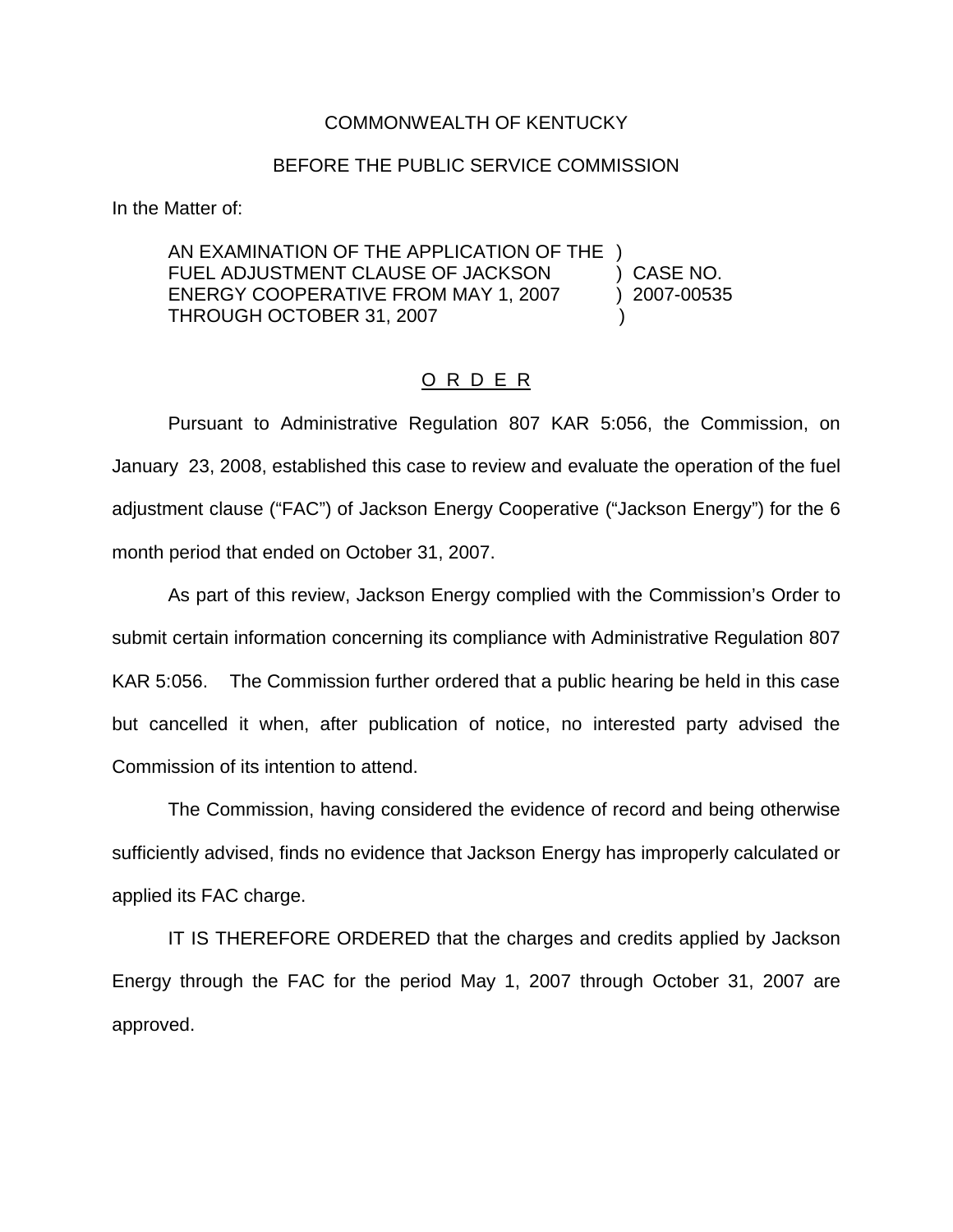## COMMONWEALTH OF KENTUCKY

## BEFORE THE PUBLIC SERVICE COMMISSION

In the Matter of:

AN EXAMINATION OF THE APPLICATION OF THE ) FUEL ADJUSTMENT CLAUSE OF JACKSON (CASE NO. ENERGY COOPERATIVE FROM MAY 1, 2007 (2007-00535) THROUGH OCTOBER 31, 2007

## O R D E R

Pursuant to Administrative Regulation 807 KAR 5:056, the Commission, on January 23, 2008, established this case to review and evaluate the operation of the fuel adjustment clause ("FAC") of Jackson Energy Cooperative ("Jackson Energy") for the 6 month period that ended on October 31, 2007.

As part of this review, Jackson Energy complied with the Commission's Order to submit certain information concerning its compliance with Administrative Regulation 807 KAR 5:056. The Commission further ordered that a public hearing be held in this case but cancelled it when, after publication of notice, no interested party advised the Commission of its intention to attend.

The Commission, having considered the evidence of record and being otherwise sufficiently advised, finds no evidence that Jackson Energy has improperly calculated or applied its FAC charge.

IT IS THEREFORE ORDERED that the charges and credits applied by Jackson Energy through the FAC for the period May 1, 2007 through October 31, 2007 are approved.